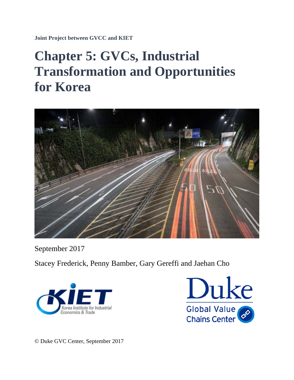**Joint Project between GVCC and KIET** 

# **Chapter 5: GVCs, Industrial Transformation and Opportunities for Korea**



September 2017

Stacey Frederick, Penny Bamber, Gary Gereffi and Jaehan Cho





© Duke GVC Center, September 2017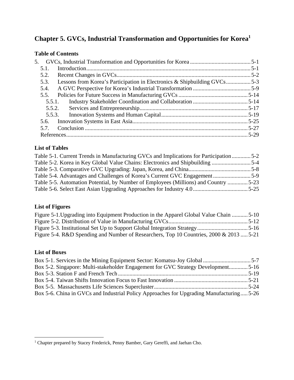# **Chapter 5. GVCs, Industrial Transformation and Opportunities for Korea<sup>1</sup>**

# **Table of Contents**

| 5.                                                                               |  |
|----------------------------------------------------------------------------------|--|
| 5.1.                                                                             |  |
| 5.2.                                                                             |  |
| Lessons from Korea's Participation in Electronics & Shipbuilding GVCs5-3<br>5.3. |  |
| 5.4.                                                                             |  |
| 5.5.                                                                             |  |
| 5.5.1.                                                                           |  |
|                                                                                  |  |
|                                                                                  |  |
|                                                                                  |  |
|                                                                                  |  |
|                                                                                  |  |

# **List of Tables**

| Table 5-1. Current Trends in Manufacturing GVCs and Implications for Participation 5-2 |  |
|----------------------------------------------------------------------------------------|--|
| Table 5-2. Korea in Key Global Value Chains: Electronics and Shipbuilding 5-4          |  |
|                                                                                        |  |
|                                                                                        |  |
| Table 5-5. Automation Potential, by Number of Employees (Millions) and Country 5-23    |  |
|                                                                                        |  |

# **List of Figures**

| Figure 5-1. Upgrading into Equipment Production in the Apparel Global Value Chain  5-10 |  |
|-----------------------------------------------------------------------------------------|--|
|                                                                                         |  |
|                                                                                         |  |
| Figure 5-4. R&D Spending and Number of Researchers, Top 10 Countries, 2000 & 2013  5-21 |  |

# **List of Boxes**

| Box 5-2. Singapore: Multi-stakeholder Engagement for GVC Strategy Development5-16        |  |
|------------------------------------------------------------------------------------------|--|
|                                                                                          |  |
|                                                                                          |  |
|                                                                                          |  |
| Box 5-6. China in GVCs and Industrial Policy Approaches for Upgrading Manufacturing 5-26 |  |

 1 Chapter prepared by Stacey Frederick, Penny Bamber, Gary Gereffi, and Jaehan Cho.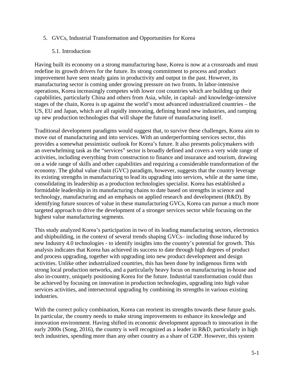#### 5. GVCs, Industrial Transformation and Opportunities for Korea

#### 5.1. Introduction

Having built its economy on a strong manufacturing base, Korea is now at a crossroads and must redefine its growth drivers for the future. Its strong commitment to process and product improvement have seen steady gains in productivity and output in the past. However, its manufacturing sector is coming under growing pressure on two fronts. In labor-intensive operations, Korea increasingly competes with lower cost countries which are building up their capabilities, particularly China and others from Asia, while, in capital- and knowledge-intensive stages of the chain, Korea is up against the world's most advanced industrialized countries – the US, EU and Japan, which are all rapidly innovating, defining brand new industries, and ramping up new production technologies that will shape the future of manufacturing itself.

Traditional development paradigms would suggest that, to survive these challenges, Korea aim to move out of manufacturing and into services. With an underperforming services sector, this provides a somewhat pessimistic outlook for Korea's future. It also presents policymakers with an overwhelming task as the "services" sector is broadly defined and covers a very wide range of activities, including everything from construction to finance and insurance and tourism, drawing on a wide range of skills and other capabilities and requiring a considerable transformation of the economy. The global value chain (GVC) paradigm, however, suggests that the country leverage its existing strengths in manufacturing to lead its upgrading into services, while at the same time, consolidating its leadership as a production technologies specialist. Korea has established a formidable leadership in its manufacturing chains to date based on strengths in science and technology, manufacturing and an emphasis on applied research and development (R&D). By identifying future sources of value in these manufacturing GVCs, Korea can pursue a much more targeted approach to drive the development of a stronger services sector while focusing on the highest value manufacturing segments.

This study analyzed Korea's participation in two of its leading manufacturing sectors, electronics and shipbuilding, in the context of several trends shaping GVCs– including those induced by new Industry 4.0 technologies - to identify insights into the country's potential for growth. This analysis indicates that Korea has achieved its success to date through high degrees of product and process upgrading, together with upgrading into new product development and design activities. Unlike other industrialized countries, this has been done by indigenous firms with strong local production networks, and a particularly heavy focus on manufacturing in-house and also in-country, uniquely positioning Korea for the future. Industrial transformation could thus be achieved by focusing on innovation in production technologies, upgrading into high value services activities, and intersectoral upgrading by combining its strengths in various existing industries.

With the correct policy combination, Korea can reorient its strengths towards these future goals. In particular, the country needs to make strong improvements to enhance its knowledge and innovation environment. Having shifted its economic development approach to innovation in the early 2000s (Song, 2016), the country is well recognized as a leader in R&D, particularly in high tech industries, spending more than any other country as a share of GDP. However, this system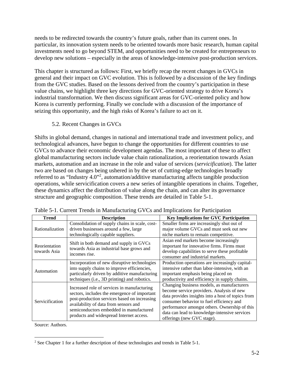needs to be redirected towards the country's future goals, rather than its current ones. In particular, its innovation system needs to be oriented towards more basic research, human capital investments need to go beyond STEM, and opportunities need to be created for entrepreneurs to develop new solutions – especially in the areas of knowledge-intensive post-production services.

This chapter is structured as follows: First, we briefly recap the recent changes in GVCs in general and their impact on GVC evolution. This is followed by a discussion of the key findings from the GVC studies. Based on the lessons derived from the country's participation in these value chains, we highlight three key directions for GVC-oriented strategy to drive Korea's industrial transformation. We then discuss significant areas for GVC-oriented policy and how Korea is currently performing. Finally we conclude with a discussion of the importance of seizing this opportunity, and the high risks of Korea's failure to act on it.

5.2. Recent Changes in GVCs

Shifts in global demand, changes in national and international trade and investment policy, and technological advances, have begun to change the opportunities for different countries to use GVCs to advance their economic development agendas. The most important of these to affect global manufacturing sectors include value chain rationalization, a reorientation towards Asian markets, automation and an increase in the role and value of services (*servicification*). The latter two are based on changes being ushered in by the set of cutting-edge technologies broadly referred to as "Industry 4.0"<sup>2</sup>, automation/additive manufacturing affects tangible production operations, while servicification covers a new series of intangible operations in chains. Together, these dynamics affect the distribution of value along the chain, and can alter its governance structure and geographic composition. These trends are detailed in Table 5-1.

| <b>Trend</b>                  | <b>Description</b>                                                                                                                                                                                                                                                          | <b>Key Implications for GVC Participation</b>                                                                                                                                                                                                                                                                            |
|-------------------------------|-----------------------------------------------------------------------------------------------------------------------------------------------------------------------------------------------------------------------------------------------------------------------------|--------------------------------------------------------------------------------------------------------------------------------------------------------------------------------------------------------------------------------------------------------------------------------------------------------------------------|
| Rationalization               | Consolidation of supply chains in scale, cost-<br>driven businesses around a few, large<br>technologically capable suppliers.                                                                                                                                               | Smaller firms are increasingly shut out of<br>major volume GVCs and must seek out new<br>niche markets to remain competitive.                                                                                                                                                                                            |
| Reorientation<br>towards Asia | Shift in both demand and supply in GVCs<br>towards Asia as industrial base grows and<br>incomes rise.                                                                                                                                                                       | Asian end markets become increasingly<br>important for innovative firms. Firms must<br>develop capabilities to serve these profitable<br>consumer and industrial markets.                                                                                                                                                |
| Automation                    | Incorporation of new disruptive technologies<br>into supply chains to improve efficiencies,<br>particularly driven by additive manufacturing<br>techniques (i.e., 3D printing) and robotics.                                                                                | Production operations are increasingly capital-<br>intensive rather than labor-intensive, with an<br>important emphasis being placed on<br>productivity and efficiency in supply chains.                                                                                                                                 |
| Servicification               | Increased role of services in manufacturing<br>sectors, includes the emergence of important<br>post-production services based on increasing<br>availability of data from sensors and<br>semiconductors embedded in manufactured<br>products and widespread Internet access. | Changing business models, as manufacturers<br>become service providers. Analysis of new<br>data provides insights into a host of topics from<br>consumer behavior to fuel efficiency and<br>performance amongst others. Ownership of this<br>data can lead to knowledge-intensive services<br>offerings (new GVC stage). |

Table 5-1. Current Trends in Manufacturing GVCs and Implications for Participation

Source: Authors.

 $\overline{a}$ <sup>2</sup> See Chapter 1 for a further description of these technologies and trends in Table 5-1.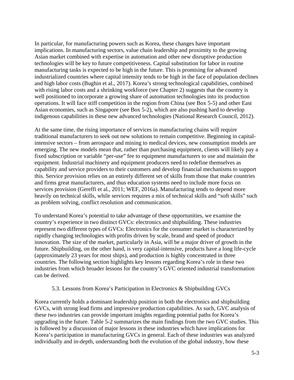In particular, for manufacturing powers such as Korea, these changes have important implications. In manufacturing sectors, value chain leadership and proximity to the growing Asian market combined with expertise in automation and other new disruptive production technologies will be key to future competitiveness. Capital substitution for labor in routine manufacturing tasks is expected to be high in the future. This is promising for advanced industrialized countries where capital intensity tends to be high in the face of population declines and high labor costs (Bughin et al., 2017). Korea's strong technological capabilities, combined with rising labor costs and a shrinking workforce (see Chapter 2) suggests that the country is well positioned to incorporate a growing share of automation technologies into its production operations. It will face stiff competition in the region from China (see Box 5-5) and other East Asian economies, such as Singapore (see Box 5-2), which are also pushing hard to develop indigenous capabilities in these new advanced technologies (National Research Council, 2012).

At the same time, the rising importance of services in manufacturing chains will require traditional manufacturers to seek out new solutions to remain competitive. Beginning in capitalintensive sectors – from aerospace and mining to medical devices, new consumption models are emerging. The new models mean that, rather than purchasing equipment, clients will likely pay a fixed subscription or variable "per-use" fee to equipment manufacturers to use and maintain the equipment. Industrial machinery and equipment producers need to redefine themselves as capability and service providers to their customers and develop financial mechanisms to support this. Service provision relies on an entirely different set of skills from those that make countries and firms great manufacturers, and thus education systems need to include more focus on services provision (Gereffi et al., 2011; WEF, 2016a). Manufacturing tends to depend more heavily on technical skills, while services requires a mix of technical skills and "soft skills" such as problem solving, conflict resolution and communication.

To understand Korea's potential to take advantage of these opportunities, we examine the country's experience in two distinct GVCs: electronics and shipbuilding. These industries represent two different types of GVCs: Electronics for the consumer market is characterized by rapidly changing technologies with profits driven by scale, brand and speed of product innovation. The size of the market, particularly in Asia, will be a major driver of growth in the future. Shipbuilding, on the other hand, is very capital-intensive, products have a long life-cycle (approximately 23 years for most ships), and production is highly concentrated in three countries. The following section highlights key lessons regarding Korea's role in these two industries from which broader lessons for the country's GVC oriented industrial transformation can be derived.

#### 5.3. Lessons from Korea's Participation in Electronics & Shipbuilding GVCs

Korea currently holds a dominant leadership position in both the electronics and shipbuilding GVCs, with strong lead firms and impressive production capabilities. As such, GVC analysis of these two industries can provide important insights regarding potential paths for Korea's upgrading in the future. Table 5-2 summarizes the main findings from the two GVC studies. This is followed by a discussion of major lessons in these industries which have implications for Korea's participation in manufacturing GVCs in general. Each of these industries was analyzed individually and in-depth, understanding both the evolution of the global industry, how these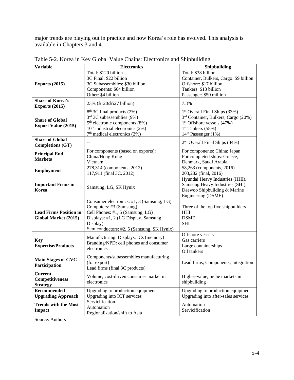major trends are playing out in practice and how Korea's role has evolved. This analysis is available in Chapters 3 and 4.

| <b>Variable</b>               | <b>Electronics</b>                        | Shipbuilding                                    |
|-------------------------------|-------------------------------------------|-------------------------------------------------|
|                               | Total: \$120 billion                      | Total: \$38 billion                             |
|                               | 3C Final: \$22 billion                    | Container, Bulkers, Cargo: \$9 billion          |
| Exports $(2015)$              | 3C Subassemblies: \$30 billion            | Offshore: \$17 billion                          |
|                               | Components: \$64 billion                  | Tankers: \$13 billion                           |
|                               | Other: \$4 billion                        | Passenger: \$50 million                         |
| <b>Share of Korea's</b>       |                                           |                                                 |
| <b>Exports (2015)</b>         | 23% (\$120/\$527 billion)                 | 7.3%                                            |
|                               | 8 <sup>th</sup> 3C final products (2%)    | 1 <sup>st</sup> Overall Final Ships (33%)       |
|                               | 3rd 3C subassemblies (9%)                 |                                                 |
| <b>Share of Global</b>        |                                           | 3 <sup>rd</sup> Container, Bulkers, Cargo (20%) |
| <b>Export Value (2015)</b>    | $5th$ electronic components (8%)          | $1st$ Offshore vessels (47%)                    |
|                               | $10th$ industrial electronics (2%)        | $1st$ Tankers (58%)                             |
|                               | $7th$ medical electronics (2%)            | 14 <sup>th</sup> Passenger (1%)                 |
| <b>Share of Global</b>        |                                           | 2 <sup>nd</sup> Overall Final Ships (34%)       |
| <b>Completions (GT)</b>       |                                           |                                                 |
| <b>Principal End</b>          | For components (based on exports):        | For components: China; Japan                    |
| <b>Markets</b>                | China/Hong Kong                           | For completed ships: Greece,                    |
|                               | Vietnam                                   | Denmark, Saudi Arabia                           |
|                               | 278,314 (components, 2012)                | 58,263 (components, 2016)                       |
| <b>Employment</b>             | 117,911 (final 3C, 2012)                  | 203,282 (final, 2016)                           |
|                               |                                           | Hyundai Heavy Industries (HHI),                 |
| <b>Important Firms in</b>     |                                           | Samsung Heavy Industries (SHI),                 |
| Korea                         | Samsung, LG, SK Hynix                     | Daewoo Shipbuilding & Marine                    |
|                               |                                           | Engineering (DSME)                              |
|                               | Consumer electronics: #1, 3 (Samsung, LG) |                                                 |
|                               | Computers: #3 (Samsung)                   |                                                 |
|                               |                                           | Three of the top five shipbuilders              |
| <b>Lead Firms Position in</b> | Cell Phones: #1, 5 (Samsung, LG)          | <b>HHI</b>                                      |
| Global Market (2015)          | Displays: #1, 2 (LG Display, Samsung      | <b>DSME</b>                                     |
|                               | Display)                                  | <b>SHI</b>                                      |
|                               | Semiconductors: #2, 5 (Samsung, SK Hynix) |                                                 |
|                               | Manufacturing: Displays, ICs (memory)     | Offshore vessels                                |
| <b>Key</b>                    | Branding/NPD: cell phones and consumer    | Gas carriers                                    |
| <b>Expertise/Products</b>     | electronics                               | Large containerships                            |
|                               |                                           | Oil tankers                                     |
| <b>Main Stages of GVC</b>     | Components/subassemblies manufacturing    |                                                 |
|                               | (for export)                              | Lead firms; Components; Integration             |
| Participation                 | Lead firms (final 3C products)            |                                                 |
| <b>Current</b>                |                                           |                                                 |
| <b>Competitiveness</b>        | Volume, cost-driven consumer market in    | Higher-value, niche markets in                  |
| <b>Strategy</b>               | electronics                               | shipbuilding                                    |
| Recommended                   | Upgrading to production equipment         | Upgrading to production equipment               |
| <b>Upgrading Approach</b>     | Upgrading into ICT services               | Upgrading into after-sales services             |
|                               | Servicification                           |                                                 |
| <b>Trends with the Most</b>   | Automation                                | Automation                                      |
| <b>Impact</b>                 | Regionalization/shift to Asia             | Servicification                                 |
|                               |                                           |                                                 |

Table 5-2. Korea in Key Global Value Chains: Electronics and Shipbuilding

Source: Authors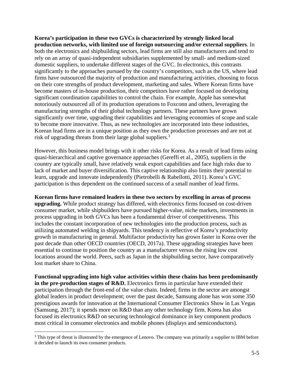**Korea's participation in these two GVCs is characterized by strongly linked local production networks, with limited use of foreign outsourcing and/or external suppliers**. In both the electronics and shipbuilding sectors, lead firms are still also manufacturers and tend to rely on an array of quasi-independent subsidiaries supplemented by small- and medium-sized domestic suppliers, to undertake different stages of the GVC. In electronics, this contrasts significantly to the approaches pursued by the country's competitors, such as the US, where lead firms have outsourced the majority of production and manufacturing activities, choosing to focus on their core strengths of product development, marketing and sales. Where Korean firms have become masters of in-house production, their competitors have rather focused on developing significant coordination capabilities to control the chain. For example, Apple has somewhat notoriously outsourced all of its production operations to Foxconn and others, leveraging the manufacturing strengths of their global technology partners. These partners have grown significantly over time, upgrading their capabilities and leveraging economies of scope and scale to become more innovative. Thus, as new technologies are incorporated into these industries, Korean lead firms are in a unique position as they own the production processes and are not at risk of upgrading threats from their large global suppliers.<sup>3</sup>

However, this business model brings with it other risks for Korea. As a result of lead firms using quasi-hierarchical and captive governance approaches (Gereffi et al., 2005), suppliers in the country are typically small, have relatively weak export capabilities and face high risks due to lack of market and buyer diversification. This captive relationship also limits their potential to learn, upgrade and innovate independently (Pietrobelli & Rabellotti, 2011). Korea's GVC participation is thus dependent on the continued success of a small number of lead firms.

**Korean firms have remained leaders in these two sectors by excelling in areas of process upgrading.** While product strategy has differed, with electronics firms focused on cost-driven consumer market, while shipbuilders have pursued higher-value, niche markets, investments in process upgrading in both GVCs has been a fundamental driver of competitiveness. This includes the constant incorporation of new technologies into the production process, such as utilizing automated welding in shipyards. This tendency is reflective of Korea's productivity growth in manufacturing in general. Multifactor productivity has grown faster in Korea over the past decade than other OECD countries (OECD, 2017a). These upgrading strategies have been essential to continue to position the country as a manufacturer versus the rising low cost locations around the world. Peers, such as Japan in the shipbuilding sector, have comparatively lost market share to China.

**Functional upgrading into high value activities within these chains has been predominantly in the pre-production stages of R&D.** Electronics firms in particular have extended their participation through the front-end of the value chain. Indeed, firms in the sector are amongst global leaders in product development; over the past decade, Samsung alone has won some 350 prestigious awards for innovation at the International Consumer Electronics Show in Las Vegas (Samsung, 2017); it spends more on R&D than any other technology firm. Korea has also focused its electronics R&D on securing technological dominance in key component products most critical in consumer electronics and mobile phones (displays and semiconductors).

 $\overline{a}$ 

<sup>&</sup>lt;sup>3</sup> This type of threat is illustrated by the emergence of Lenovo. The company was primarily a supplier to IBM before it decided to launch its own consumer products.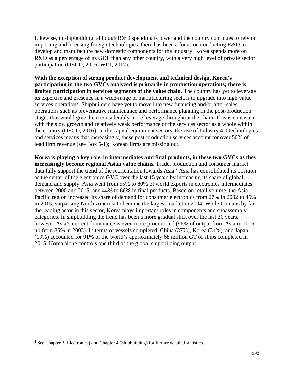Likewise, in shipbuilding, although R&D spending is lower and the country continues to rely on importing and licensing foreign technologies, there has been a focus on conducting R&D to develop and manufacture new domestic components for the industry. Korea spends more on R&D as a percentage of its GDP than any other country, with a very high level of private sector participation (OECD, 2016; WDI, 2017).

**With the exception of strong product development and technical design, Korea's participation in the two GVCs analyzed is primarily in production operations; there is limited participation in services segments of the value chain.** The country has yet to leverage its expertise and presence in a wide-range of manufacturing sectors to upgrade into high value services operations. Shipbuilders have yet to move into new financing and/or after-sales operations such as preventative maintenance and performance planning in the post-production stages that would give them considerably more leverage throughout the chain. This is consistent with the slow growth and relatively weak performance of the services sector as a whole within the country (OECD, 2016). In the capital equipment sectors, the rise of Industry 4.0 technologies and services means that increasingly, these post-production services account for over 50% of lead firm revenue (see Box 5-1); Korean firms are missing out.

**Korea is playing a key role, in intermediates and final products, in these two GVCs as they increasingly become regional Asian value chains.** Trade, production and consumer market data fully support the trend of the reorientation towards Asia.<sup>4</sup> Asia has consolidated its position as the center of the electronics GVC over the last 15 years by increasing its share of global demand and supply. Asia went from 55% to 80% of world exports in electronics intermediates between 2000 and 2015, and 44% to 66% in final products. Based on retail volume, the Asia-Pacific region increased its share of demand for consumer electronics from 27% in 2002 to 45% in 2015, surpassing North America to become the largest market in 2004. While China is by far the leading actor in this sector, Korea plays important roles in components and subassembly categories. In shipbuilding the trend has been a more gradual shift over the last 30 years, however Asia's current dominance is even more pronounced (96% of output from Asia in 2015, up from 85% in 2003). In terms of vessels completed, China (37%), Korea (34%), and Japan (19%) accounted for 91% of the world's approximately 68 million GT of ships completed in 2015. Korea alone controls one third of the global shipbuilding output.

 4 See Chapter 3 (Electronics) and Chapter 4 (Shipbuilding) for further detailed statistics.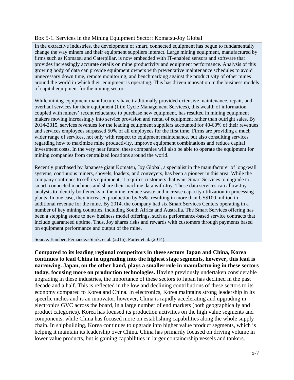#### Box 5-1. Services in the Mining Equipment Sector: Komatsu-Joy Global

In the extractive industries, the development of smart, connected equipment has begun to fundamentally change the way miners and their equipment suppliers interact. Large mining equipment, manufactured by firms such as Komatsu and Caterpillar, is now embedded with IT-enabled sensors and software that provides increasingly accurate details on mine productivity and equipment performance. Analysis of this growing body of data can provide equipment owners with preventative maintenance schedules to avoid unnecessary down time, remote monitoring, and benchmarking against the productivity of other mines around the world in which their equipment is operating. This has driven innovation in the business models of capital equipment for the mining sector.

While mining-equipment manufacturers have traditionally provided extensive maintenance, repair, and overhaul services for their equipment (Life Cycle Management Services), this wealth of information, coupled with miners' recent reluctance to purchase new equipment, has resulted in mining equipment makers moving increasingly into service provision and rental of equipment rather than outright sales. By 2014-2015, services revenues for the leading equipment suppliers accounted for 40-60% of their revenues and services employees surpassed 50% of all employees for the first time. Firms are providing a much wider range of services, not only with respect to equipment maintenance, but also consulting services regarding how to maximize mine productivity, improve equipment combinations and reduce capital investment costs. In the very near future, these companies will also be able to operate the equipment for mining companies from centralized locations around the world.

Recently purchased by Japanese giant Komatsu, Joy Global, a specialist in the manufacturer of long-wall systems, continuous miners, shovels, loaders, and conveyers, has been a pioneer in this area. While the company continues to sell its equipment, it requires customers that want Smart Services to upgrade to smart, connected machines and share their machine data with Joy. These data services can allow Joy analysts to identify bottlenecks in the mine, reduce waste and increase capacity utilization in processing plants. In one case, they increased production by 65%, resulting in more than US\$100 million in additional revenue for the mine. By 2014, the company had six Smart Services Centers operating in a number of key mining countries, including South Africa and Australia. The Smart Services offering has been a stepping stone to new business model offerings, such as performance-based service contracts that include guaranteed uptime. Thus, Joy shares risks and rewards with customers through payments based on equipment performance and output of the mine.

Source: Bamber, Fernandez-Stark, et al. (2016); Porter et al. (2014).

**Compared to its leading regional competitors in these sectors Japan and China, Korea continues to lead China in upgrading into the highest stage segments, however, this lead is narrowing. Japan, on the other hand, plays a smaller role in manufacturing in these sectors today, focusing more on production technologies.** Having previously undertaken considerable upgrading in these industries, the importance of these sectors to Japan has declined in the past decade and a half. This is reflected in the low and declining contributions of these sectors to its economy compared to Korea and China. In electronics, Korea maintains strong leadership in its specific niches and is an innovator, however, China is rapidly accelerating and upgrading in electronics GVC across the board, in a large number of end markets (both geographically and product categories). Korea has focused its production activities on the high value segments and components, while China has focused more on establishing capabilities along the whole supply chain. In shipbuilding, Korea continues to upgrade into higher value product segments, which is helping it maintain its leadership over China. China has primarily focused on driving volume in lower value products, but is gaining capabilities in larger containership vessels and tankers.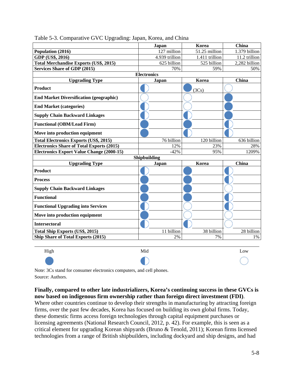|                                                  | Japan              | <b>Korea</b>   | China         |
|--------------------------------------------------|--------------------|----------------|---------------|
| Population (2016)                                | 127 million        | 51.25 million  | 1.379 billion |
| GDP (US\$, 2016)                                 | 4.939 trillion     | 1.411 trillion | 11.2 trillion |
| <b>Total Merchandise Exports (US\$, 2015)</b>    | 625 billion        | 525 billion    | 2,282 billion |
| <b>Services Share of GDP (2015)</b>              | 70%                | 59%            | 50%           |
|                                                  | <b>Electronics</b> |                |               |
| <b>Upgrading Type</b>                            | Japan              | Korea          | China         |
| <b>Product</b>                                   |                    | (3Cs)          |               |
| <b>End Market Diversification (geographic)</b>   |                    |                |               |
| <b>End Market (categories)</b>                   |                    |                |               |
| <b>Supply Chain Backward Linkages</b>            |                    |                |               |
| <b>Functional (OBM/Lead Firm)</b>                |                    |                |               |
| Move into production equipment                   |                    |                |               |
| <b>Total Electronics Exports (US\$, 2015)</b>    | 76 billion         | 120 billion    | 636 billion   |
| <b>Electronics Share of Total Exports (2015)</b> | 12%                | 23%            | 28%           |
| <b>Electronics Export Value Change (2000-15)</b> | $-42%$             | 95%            | 1209%         |
|                                                  | Shipbuilding       |                |               |
| <b>Upgrading Type</b>                            | Japan              | Korea          | China         |
| <b>Product</b>                                   |                    |                |               |
| <b>Process</b>                                   |                    |                |               |
| <b>Supply Chain Backward Linkages</b>            |                    |                |               |
| <b>Functional</b>                                |                    |                |               |
| <b>Functional Upgrading into Services</b>        |                    |                |               |
| Move into production equipment                   |                    |                |               |
| <b>Intersectoral</b>                             |                    |                |               |
| <b>Total Ship Exports (US\$, 2015)</b>           | 11 billion         | 38 billion     | 28 billion    |
| Ship Share of Total Exports (2015)               | 2%                 | 7%             | 1%            |
| High                                             | Mid                |                | Low           |
|                                                  |                    |                |               |

Table 5-3. Comparative GVC Upgrading: Japan, Korea, and China

Note: 3Cs stand for consumer electronics computers, and cell phones. Source: Authors.

**Finally, compared to other late industrializers, Korea's continuing success in these GVCs is now based on indigenous firm ownership rather than foreign direct investment (FDI)**. Where other countries continue to develop their strengths in manufacturing by attracting foreign firms, over the past few decades, Korea has focused on building its own global firms. Today, these domestic firms access foreign technologies through capital equipment purchases or licensing agreements (National Research Council, 2012, p. 42). For example, this is seen as a critical element for upgrading Korean shipyards (Bruno & Tenold, 2011); Korean firms licensed technologies from a range of British shipbuilders, including dockyard and ship designs, and had

 $\begin{pmatrix} 1 \\ 1 \end{pmatrix}$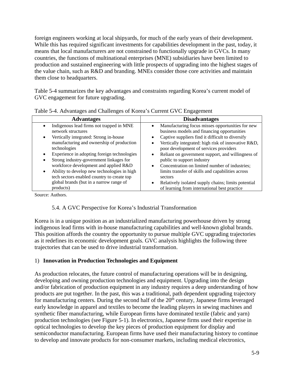foreign engineers working at local shipyards, for much of the early years of their development. While this has required significant investments for capabilities development in the past, today, it means that local manufacturers are not constrained to functionally upgrade in GVCs. In many countries, the functions of multinational enterprises (MNE) subsidiaries have been limited to production and sustained engineering with little prospects of upgrading into the highest stages of the value chain, such as R&D and branding. MNEs consider those core activities and maintain them close to headquarters.

Table 5-4 summarizes the key advantages and constraints regarding Korea's current model of GVC engagement for future upgrading.

| <b>Disadvantages</b><br><b>Advantages</b><br>Manufacturing focus misses opportunities for new<br>Indigenous lead firms not trapped in MNE<br>business models and financing opportunities<br>network structures<br>Captive suppliers find it difficult to diversify<br>Vertically integrated: Strong in-house<br>manufacturing and ownership of production<br>Vertically integrated: high risk of innovative R&D,<br>technologies<br>poor development of services providers<br>Experience in adopting foreign technologies<br>Reliant on government support, and willingness of<br>٠<br>Strong industry-government linkages for<br>public to support industry<br>٠<br>workforce development and applied R&D<br>Concentration on limited number of industries;<br>Ability to develop new technologies in high<br>limits transfer of skills and capabilities across<br>tech sectors enabled country to create top<br>sectors<br>global brands (but in a narrow range of<br>Relatively isolated supply chains; limits potential<br>٠<br>products)<br>of learning from international best practice | $\ldots$ |  |  |
|-----------------------------------------------------------------------------------------------------------------------------------------------------------------------------------------------------------------------------------------------------------------------------------------------------------------------------------------------------------------------------------------------------------------------------------------------------------------------------------------------------------------------------------------------------------------------------------------------------------------------------------------------------------------------------------------------------------------------------------------------------------------------------------------------------------------------------------------------------------------------------------------------------------------------------------------------------------------------------------------------------------------------------------------------------------------------------------------------|----------|--|--|
|                                                                                                                                                                                                                                                                                                                                                                                                                                                                                                                                                                                                                                                                                                                                                                                                                                                                                                                                                                                                                                                                                               |          |  |  |
|                                                                                                                                                                                                                                                                                                                                                                                                                                                                                                                                                                                                                                                                                                                                                                                                                                                                                                                                                                                                                                                                                               |          |  |  |

Table 5-4. Advantages and Challenges of Korea's Current GVC Engagement

Source: Authors.

# 5.4. A GVC Perspective for Korea's Industrial Transformation

Korea is in a unique position as an industrialized manufacturing powerhouse driven by strong indigenous lead firms with in-house manufacturing capabilities and well-known global brands. This position affords the country the opportunity to pursue multiple GVC upgrading trajectories as it redefines its economic development goals. GVC analysis highlights the following three trajectories that can be used to drive industrial transformation.

# 1) **Innovation in Production Technologies and Equipment**

As production relocates, the future control of manufacturing operations will be in designing, developing and owning production technologies and equipment. Upgrading into the design and/or fabrication of production equipment in any industry requires a deep understanding of how products are put together. In the past, this was a traditional, path dependent upgrading trajectory for manufacturing centers. During the second half of the 20<sup>th</sup> century, Japanese firms leveraged early knowledge in apparel and textiles to become the leading players in sewing machines and synthetic fiber manufacturing, while European firms have dominated textile (fabric and yarn) production technologies (see Figure 5-1). In electronics, Japanese firms used their expertise in optical technologies to develop the key pieces of production equipment for display and semiconductor manufacturing. European firms have used their manufacturing history to continue to develop and innovate products for non-consumer markets, including medical electronics,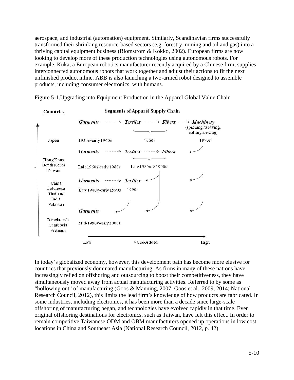aerospace, and industrial (automation) equipment. Similarly, Scandinavian firms successfully transformed their shrinking resource-based sectors (e.g. forestry, mining and oil and gas) into a thriving capital equipment business (Blomstrom & Kokko, 2002). European firms are now looking to develop more of these production technologies using autonomous robots. For example, Kuka, a European robotics manufacturer recently acquired by a Chinese firm, supplies interconnected autonomous robots that work together and adjust their actions to fit the next unfinished product inline. ABB is also launching a two-armed robot designed to assemble products, including consumer electronics, with humans.



Figure 5-1.Upgrading into Equipment Production in the Apparel Global Value Chain

In today's globalized economy, however, this development path has become more elusive for countries that previously dominated manufacturing. As firms in many of these nations have increasingly relied on offshoring and outsourcing to boost their competitiveness, they have simultaneously moved away from actual manufacturing activities. Referred to by some as "hollowing out" of manufacturing (Goos & Manning, 2007; Goos et al., 2009, 2014; National Research Council, 2012), this limits the lead firm's knowledge of how products are fabricated. In some industries, including electronics, it has been more than a decade since large-scale offshoring of manufacturing began, and technologies have evolved rapidly in that time. Even original offshoring destinations for electronics, such as Taiwan, have felt this effect. In order to remain competitive Taiwanese ODM and OBM manufacturers opened up operations in low cost locations in China and Southeast Asia (National Research Council, 2012, p. 42).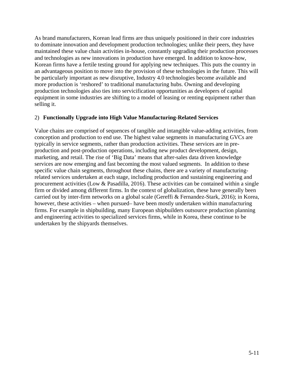As brand manufacturers, Korean lead firms are thus uniquely positioned in their core industries to dominate innovation and development production technologies; unlike their peers, they have maintained these value chain activities in-house, constantly upgrading their production processes and technologies as new innovations in production have emerged. In addition to know-how, Korean firms have a fertile testing ground for applying new techniques. This puts the country in an advantageous position to move into the provision of these technologies in the future. This will be particularly important as new disruptive, Industry 4.0 technologies become available and more production is 'reshored' to traditional manufacturing hubs. Owning and developing production technologies also ties into servicification opportunities as developers of capital equipment in some industries are shifting to a model of leasing or renting equipment rather than selling it.

#### 2) **Functionally Upgrade into High Value Manufacturing-Related Services**

Value chains are comprised of sequences of tangible and intangible value-adding activities, from conception and production to end use. The highest value segments in manufacturing GVCs are typically in service segments, rather than production activities. These services are in preproduction and post-production operations, including new product development, design, marketing, and retail. The rise of 'Big Data' means that after-sales data driven knowledge services are now emerging and fast becoming the most valued segments. In addition to these specific value chain segments, throughout these chains, there are a variety of manufacturingrelated services undertaken at each stage, including production and sustaining engineering and procurement activities (Low & Pasadilla, 2016). These activities can be contained within a single firm or divided among different firms. In the context of globalization, these have generally been carried out by inter-firm networks on a global scale (Gereffi & Fernandez-Stark, 2016); in Korea, however, these activities – when pursued– have been mostly undertaken within manufacturing firms. For example in shipbuilding, many European shipbuilders outsource production planning and engineering activities to specialized services firms, while in Korea, these continue to be undertaken by the shipyards themselves.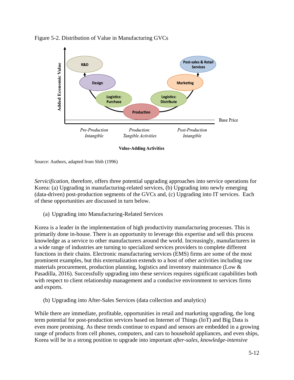

Figure 5-2. Distribution of Value in Manufacturing GVCs

Source: Authors, adapted from Shih (1996)

*Servicification*, therefore, offers three potential upgrading approaches into service operations for Korea: (a) Upgrading in manufacturing-related services, (b) Upgrading into newly emerging (data-driven) post-production segments of the GVCs and, (c) Upgrading into IT services. Each of these opportunities are discussed in turn below.

(a) Upgrading into Manufacturing-Related Services

Korea is a leader in the implementation of high productivity manufacturing processes. This is primarily done in-house. There is an opportunity to leverage this expertise and sell this process knowledge as a service to other manufacturers around the world. Increasingly, manufacturers in a wide range of industries are turning to specialized services providers to complete different functions in their chains. Electronic manufacturing services (EMS) firms are some of the most prominent examples, but this externalization extends to a host of other activities including raw materials procurement, production planning, logistics and inventory maintenance (Low & Pasadilla, 2016). Successfully upgrading into these services requires significant capabilities both with respect to client relationship management and a conducive environment to services firms and exports.

(b) Upgrading into After-Sales Services (data collection and analytics)

While there are immediate, profitable, opportunities in retail and marketing upgrading, the long term potential for post-production services based on Internet of Things (IoT) and Big Data is even more promising. As these trends continue to expand and sensors are embedded in a growing range of products from cell phones, computers, and cars to household appliances, and even ships, Korea will be in a strong position to upgrade into important *after-sales*, *knowledge-intensive*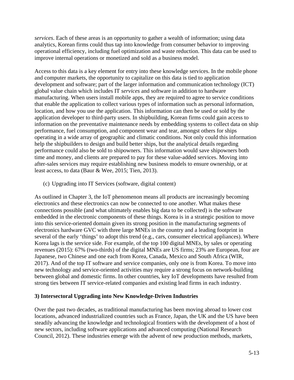*services*. Each of these areas is an opportunity to gather a wealth of information; using data analytics, Korean firms could thus tap into knowledge from consumer behavior to improving operational efficiency, including fuel optimization and waste reduction. This data can be used to improve internal operations or monetized and sold as a business model.

Access to this data is a key element for entry into these knowledge services. In the mobile phone and computer markets, the opportunity to capitalize on this data is tied to application development and software; part of the larger information and communication technology (ICT) global value chain which includes IT *services* and software in addition to hardware manufacturing. When users install mobile apps, they are required to agree to service conditions that enable the application to collect various types of information such as personal information, location, and how you use the application. This information can then be used or sold by the application developer to third-party users. In shipbuilding, Korean firms could gain access to information on the preventative maintenance needs by embedding systems to collect data on ship performance, fuel consumption, and component wear and tear, amongst others for ships operating in a wide array of geographic and climatic conditions. Not only could this information help the shipbuilders to design and build better ships, but the analytical details regarding performance could also be sold to shipowners. This information would save shipowners both time and money, and clients are prepared to pay for these value-added services. Moving into after-sales services may require establishing new business models to ensure ownership, or at least access, to data (Baur & Wee, 2015; Tien, 2013).

(c) Upgrading into IT Services (software, digital content)

As outlined in Chapter 3, the IoT phenomenon means all products are increasingly becoming electronics and these electronics can now be connected to one another. What makes these connections possible (and what ultimately enables big data to be collected) is the software embedded in the electronic components of these things. Korea is in a strategic position to move into this service-oriented domain given its strong position in the manufacturing segments of electronics hardware GVC with three large MNEs in the country and a leading footprint in several of the early 'things' to adopt this trend (e.g., cars, consumer electrical appliances). Where Korea lags is the service side. For example, of the top 100 digital MNEs, by sales or operating revenues (2015): 67% (two-thirds) of the digital MNEs are US firms; 23% are European, four are Japanese, two Chinese and one each from Korea, Canada, Mexico and South Africa (WIR, 2017). And of the top IT software and service companies, only one is from Korea. To move into new technology and service-oriented activities may require a strong focus on network-building between global and domestic firms. In other countries, key IoT developments have resulted from strong ties between IT service-related companies and existing lead firms in each industry.

### **3) Intersectoral Upgrading into New Knowledge-Driven Industries**

Over the past two decades, as traditional manufacturing has been moving abroad to lower cost locations, advanced industrialized countries such as France, Japan, the UK and the US have been steadily advancing the knowledge and technological frontiers with the development of a host of new sectors, including software applications and advanced computing (National Research Council, 2012). These industries emerge with the advent of new production methods, markets,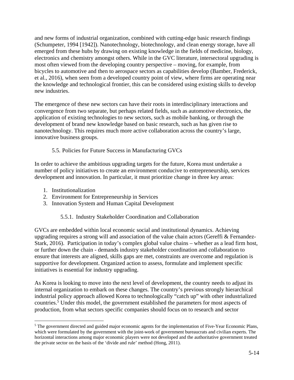and new forms of industrial organization, combined with cutting-edge basic research findings (Schumpeter, 1994 [1942]). Nanotechnology, biotechnology, and clean energy storage, have all emerged from these hubs by drawing on existing knowledge in the fields of medicine, biology, electronics and chemistry amongst others. While in the GVC literature, intersectoral upgrading is most often viewed from the developing country perspective – moving, for example, from bicycles to automotive and then to aerospace sectors as capabilities develop (Bamber, Frederick, et al., 2016), when seen from a developed country point of view, where firms are operating near the knowledge and technological frontier, this can be considered using existing skills to develop new industries.

The emergence of these new sectors can have their roots in interdisciplinary interactions and convergence from two separate, but perhaps related fields, such as automotive electronics, the application of existing technologies to new sectors, such as mobile banking, or through the development of brand new knowledge based on basic research, such as has given rise to nanotechnology. This requires much more active collaboration across the country's large, innovative business groups.

## 5.5. Policies for Future Success in Manufacturing GVCs

In order to achieve the ambitious upgrading targets for the future, Korea must undertake a number of policy initiatives to create an environment conducive to entrepreneurship, services development and innovation. In particular, it must prioritize change in three key areas:

- 1. Institutionalization
- 2. Environment for Entrepreneurship in Services
- 3. Innovation System and Human Capital Development

### 5.5.1. Industry Stakeholder Coordination and Collaboration

GVCs are embedded within local economic social and institutional dynamics. Achieving upgrading requires a strong will and association of the value chain actors (Gereffi & Fernandez-Stark, 2016). Participation in today's complex global value chains – whether as a lead firm host, or further down the chain - demands industry stakeholder coordination and collaboration to ensure that interests are aligned, skills gaps are met, constraints are overcome and regulation is supportive for development. Organized action to assess, formulate and implement specific initiatives is essential for industry upgrading.

As Korea is looking to move into the next level of development, the country needs to adjust its internal organization to embark on these changes. The country's previous strongly hierarchical industrial policy approach allowed Korea to technologically "catch up" with other industrialized countries.<sup>5</sup> Under this model, the government established the parameters for most aspects of production, from what sectors specific companies should focus on to research and sector

 $\overline{a}$ <sup>5</sup> The government directed and guided major economic agents for the implementation of Five-Year Economic Plans, which were formulated by the government with the joint-work of government bureaucrats and civilian experts. The horizontal interactions among major economic players were not developed and the authoritative government treated the private sector on the basis of the 'divide and rule' method (Hong, 2011).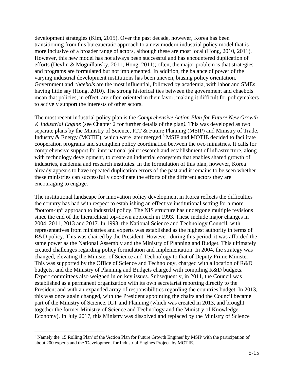development strategies (Kim, 2015). Over the past decade, however, Korea has been transitioning from this bureaucratic approach to a new modern industrial policy model that is more inclusive of a broader range of actors, although these are most local (Hong, 2010, 2011). However, this new model has not always been successful and has encountered duplication of efforts (Devlin & Moguillansky, 2011; Hong, 2011); often, the major problem is that strategies and programs are formulated but not implemented. In addition, the balance of power of the varying industrial development institutions has been uneven, biasing policy orientation. Government and *chaebols* are the most influential, followed by academia, with labor and SMEs having little say (Hong, 2010). The strong historical ties between the government and chaebols mean that policies, in effect, are often oriented in their favor, making it difficult for policymakers to actively support the interests of other actors.

The most recent industrial policy plan is the *Comprehensive Action Plan for Future New Growth & Industrial Engine* (see Chapter 2 for further details of the plan*).* This was developed as two separate plans by the Ministry of Science, ICT & Future Planning (MSIP) and Ministry of Trade, Industry & Energy (MOTIE), which were later merged.<sup>6</sup> MSIP and MOTIE decided to facilitate cooperation programs and strengthen policy coordination between the two ministries. It calls for comprehensive support for international joint research and establishment of infrastructure, along with technology development, to create an industrial ecosystem that enables shared growth of industries, academia and research institutes. In the formulation of this plan, however, Korea already appears to have repeated duplication errors of the past and it remains to be seen whether these ministries can successfully coordinate the efforts of the different actors they are encouraging to engage.

The institutional landscape for innovation policy development in Korea reflects the difficulties the country has had with respect to establishing an effective institutional setting for a more "bottom-up" approach to industrial policy. The NIS structure has undergone multiple revisions since the end of the hierarchical top-down approach in 1993. These include major changes in 2004, 2011, 2013 and 2017. In 1993, the National Science and Technology Council, with representatives from ministries and experts was established as the highest authority in terms of R&D policy. This was chaired by the President. However, during this period, it was afforded the same power as the National Assembly and the Ministry of Planning and Budget. This ultimately created challenges regarding policy formulation and implementation. In 2004, the strategy was changed, elevating the Minister of Science and Technology to that of Deputy Prime Minister. This was supported by the Office of Science and Technology, charged with allocation of R&D budgets, and the Ministry of Planning and Budgets charged with compiling R&D budgets. Expert committees also weighed in on key issues. Subsequently, in 2011, the Council was established as a permanent organization with its own secretariat reporting directly to the President and with an expanded array of responsibilities regarding the countries budget. In 2013, this was once again changed, with the President appointing the chairs and the Council became part of the Ministry of Science, ICT and Planning (which was created in 2013, and brought together the former Ministry of Science and Technology and the Ministry of Knowledge Economy). In July 2017, this Ministry was dissolved and replaced by the Ministry of Science

 $\overline{a}$ 

<sup>&</sup>lt;sup>6</sup> Namely the '15 Rolling Plan' of the 'Action Plan for Future Growth Engines' by MSIP with the participation of about 200 experts and the 'Development for Industrial Engines Project' by MOTIE.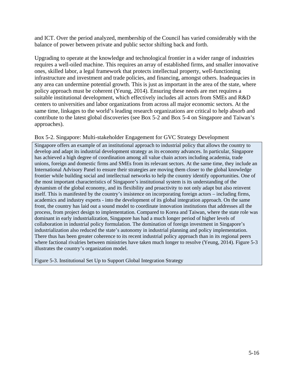and ICT. Over the period analyzed, membership of the Council has varied considerably with the balance of power between private and public sector shifting back and forth.

Upgrading to operate at the knowledge and technological frontier in a wider range of industries requires a well-oiled machine. This requires an array of established firms, and smaller innovative ones, skilled labor, a legal framework that protects intellectual property, well-functioning infrastructure and investment and trade policies, and financing, amongst others. Inadequacies in any area can undermine potential growth. This is just as important in the area of the state, where policy approach must be coherent (Yeung, 2014). Ensuring these needs are met requires a suitable institutional development, which effectively includes all actors from SMEs and R&D centers to universities and labor organizations from across all major economic sectors. At the same time, linkages to the world's leading research organizations are critical to help absorb and contribute to the latest global discoveries (see Box 5-2 and Box 5-4 on Singapore and Taiwan's approaches).

#### Box 5-2. Singapore: Multi-stakeholder Engagement for GVC Strategy Development

Singapore offers an example of an institutional approach to industrial policy that allows the country to develop and adapt its industrial development strategy as its economy advances. In particular, Singapore has achieved a high degree of coordination among all value chain actors including academia, trade unions, foreign and domestic firms and SMEs from its relevant sectors. At the same time, they include an International Advisory Panel to ensure their strategies are moving them closer to the global knowledge frontier while building social and intellectual networks to help the country identify opportunities. One of the most important characteristics of Singapore's institutional system is its understanding of the dynamism of the global economy, and its flexibility and proactivity to not only adapt but also reinvent itself. This is manifested by the country's insistence on incorporating foreign actors – including firms, academics and industry experts - into the development of its global integration approach. On the same front, the country has laid out a sound model to coordinate innovation institutions that addresses all the process, from project design to implementation. Compared to Korea and Taiwan, where the state role was dominant in early industrialization, Singapore has had a much longer period of higher levels of collaboration in industrial policy formulation. The domination of foreign investment in Singapore's industrialization also reduced the state's autonomy in industrial planning and policy implementation. There thus has been greater coherence to its recent industrial policy approach than in its regional peers where factional rivalries between ministries have taken much longer to resolve (Yeung, 2014). Figure 5-3 illustrates the country's organization model.

Figure 5-3. Institutional Set Up to Support Global Integration Strategy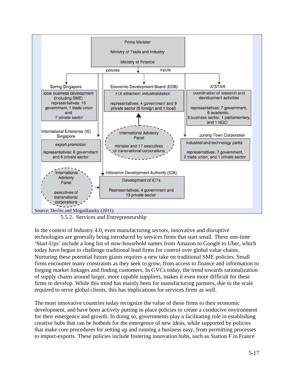

5.5.2. Services and Entrepreneurship

In the context of Industry 4.0, even manufacturing sectors, innovative and disruptive technologies are generally being introduced by services firms that start small. These one-time 'Start-Ups' include a long list of now-household names from Amazon to Google to Uber, which today have begun to challenge traditional lead firms for control over global value chains. Nurturing these potential future giants requires a new take on traditional SME policies. Small firms encounter many constraints as they seek to grow, from access to finance and information to forging market linkages and finding customers. In GVCs today, the trend towards rationalization of supply chains around larger, more capable suppliers, makes it even more difficult for these firms to develop. While this trend has mainly been for manufacturing partners, due to the scale required to serve global clients, this has implications for services firms as well.

The most innovative countries today recognize the value of these firms to their economic development, and have been actively putting in place policies to create a conducive environment for their emergence and growth. In doing so, governments play a facilitating role in establishing creative hubs that can be hotbeds for the emergence of new ideas, while supported by policies that make core procedures for setting up and running a business easy, from permitting processes to import-exports. These policies include fostering innovation hubs, such as Station F in France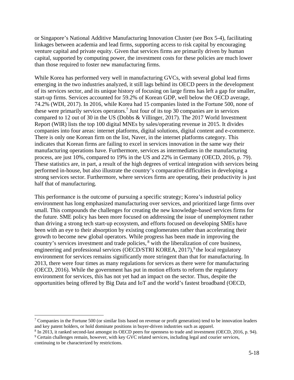or Singapore's National Additive Manufacturing Innovation Cluster (see Box 5-4), facilitating linkages between academia and lead firms, supporting access to risk capital by encouraging venture capital and private equity. Given that services firms are primarily driven by human capital, supported by computing power, the investment costs for these policies are much lower than those required to foster new manufacturing firms.

While Korea has performed very well in manufacturing GVCs, with several global lead firms emerging in the two industries analyzed, it still lags behind its OECD peers in the development of its services sector, and its unique history of focusing on large firms has left a gap for smaller, start-up firms. Services accounted for 59.2% of Korean GDP, well below the OECD average, 74.2% (WDI, 2017). In 2016, while Korea had 15 companies listed in the Fortune 500, none of these were primarily services operators.<sup>7</sup> Just four of its top 30 companies are in services compared to 12 out of 30 in the US (Dobbs & Villinger, 2017). The 2017 World Investment Report (WIR) lists the top 100 digital MNEs by sales/operating revenue in 2015. It divides companies into four areas: internet platforms, digital solutions, digital content and e-commerce. There is only one Korean firm on the list, Naver, in the internet platforms category. This indicates that Korean firms are failing to excel in services innovation in the same way their manufacturing operations have. Furthermore, services as intermediates in the manufacturing process, are just 10%, compared to 19% in the US and 22% in Germany (OECD, 2016, p. 79). These statistics are, in part, a result of the high degrees of vertical integration with services being performed in-house, but also illustrate the country's comparative difficulties in developing a strong services sector. Furthermore, where services firms are operating, their productivity is just half that of manufacturing.

This performance is the outcome of pursuing a specific strategy; Korea's industrial policy environment has long emphasized manufacturing over services, and prioritized large firms over small. This compounds the challenges for creating the new knowledge-based services firms for the future. SME policy has been more focused on addressing the issue of unemployment rather than driving a strong tech start-up ecosystem, and efforts focused on developing SMEs have been with an eye to their absorption by existing conglomerates rather than accelerating their growth to become new global operators. While progress has been made in improving the country's services investment and trade policies, <sup>8</sup> with the liberalization of core business, engineering and professional services (OECD/STRI KOREA,  $2017$ ), <sup>9</sup> the local regulatory environment for services remains significantly more stringent than that for manufacturing. In 2013, there were four times as many regulations for services as there were for manufacturing (OECD, 2016). While the government has put in motion efforts to reform the regulatory environment for services, this has not yet had an impact on the sector. Thus, despite the opportunities being offered by Big Data and IoT and the world's fastest broadband (OECD,

 $\overline{a}$ 

<sup>&</sup>lt;sup>7</sup> Companies in the Fortune 500 (or similar lists based on revenue or profit generation) tend to be innovation leaders and key patent holders, or hold dominate positions in buyer-driven industries such as apparel.

<sup>&</sup>lt;sup>8</sup> In 2013, it ranked second-last amongst its OECD peers for openness to trade and investment (OECD, 2016, p. 94). <sup>9</sup> Certain challenges remain, however, with key GVC related services, including legal and courier services,

continuing to be characterized by restrictions.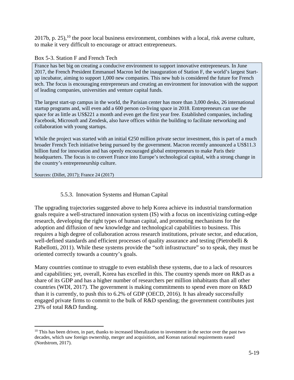2017b, p. 25),  $^{10}$  the poor local business environment, combines with a local, risk averse culture, to make it very difficult to encourage or attract entrepreneurs.

#### Box 5-3. Station F and French Tech

France has bet big on creating a conducive environment to support innovative entrepreneurs. In June 2017, the French President Emmanuel Macron led the inauguration of Station F, the world's largest Startup incubator, aiming to support 1,000 new companies. This new hub is considered the future for French tech. The focus is encouraging entrepreneurs and creating an environment for innovation with the support of leading companies, universities and venture capital funds.

The largest start-up campus in the world, the Parisian center has more than 3,000 desks, 26 international startup programs and, will even add a 600 person co-living space in 2018. Entrepreneurs can use the space for as little as US\$221 a month and even get the first year free. Established companies, including Facebook, Microsoft and Zendesk, also have offices within the building to facilitate networking and collaboration with young startups.

While the project was started with an initial  $\epsilon$  250 million private sector investment, this is part of a much broader French Tech initiative being pursued by the government. Macron recently announced a US\$11.3 billion fund for innovation and has openly encouraged global entrepreneurs to make Paris their headquarters. The focus is to convert France into Europe's technological capital, with a strong change in the country's entrepreneurship culture.

Sources: (Dillet, 2017); France 24 (2017)

 $\overline{a}$ 

### 5.5.3. Innovation Systems and Human Capital

The upgrading trajectories suggested above to help Korea achieve its industrial transformation goals require a well-structured innovation system (IS) with a focus on incentivizing cutting-edge research, developing the right types of human capital, and promoting mechanisms for the adoption and diffusion of new knowledge and technological capabilities to business. This requires a high degree of collaboration across research institutions, private sector, and education, well-defined standards and efficient processes of quality assurance and testing (Pietrobelli & Rabellotti, 2011). While these systems provide the "soft infrastructure" so to speak, they must be oriented correctly towards a country's goals.

Many countries continue to struggle to even establish these systems, due to a lack of resources and capabilities; yet, overall, Korea has excelled in this. The country spends more on R&D as a share of its GDP and has a higher number of researchers per million inhabitants than all other countries (WDI, 2017). The government is making commitments to spend even more on R&D than it is currently, to push this to 6.2% of GDP (OECD, 2016). It has already successfully engaged private firms to commit to the bulk of R&D spending; the government contributes just 23% of total R&D funding.

 $10$  This has been driven, in part, thanks to increased liberalization to investment in the sector over the past two decades, which saw foreign ownership, merger and acquisition, and Korean national requirements eased (Nordstrom, 2017).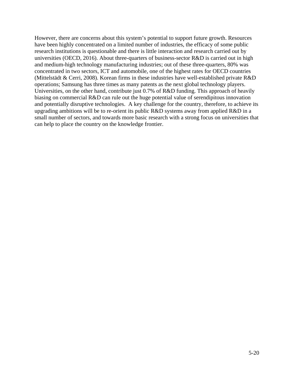However, there are concerns about this system's potential to support future growth. Resources have been highly concentrated on a limited number of industries, the efficacy of some public research institutions is questionable and there is little interaction and research carried out by universities (OECD, 2016). About three-quarters of business-sector R&D is carried out in high and medium-high technology manufacturing industries; out of these three-quarters, 80% was concentrated in two sectors, ICT and automobile, one of the highest rates for OECD countries (Mittelstädt & Cerri, 2008). Korean firms in these industries have well-established private R&D operations; Samsung has three times as many patents as the next global technology players. Universities, on the other hand, contribute just 0.7% of R&D funding. This approach of heavily biasing on commercial R&D can rule out the huge potential value of serendipitous innovation and potentially disruptive technologies. A key challenge for the country, therefore, to achieve its upgrading ambitions will be to re-orient its public R&D systems away from applied R&D in a small number of sectors, and towards more basic research with a strong focus on universities that can help to place the country on the knowledge frontier.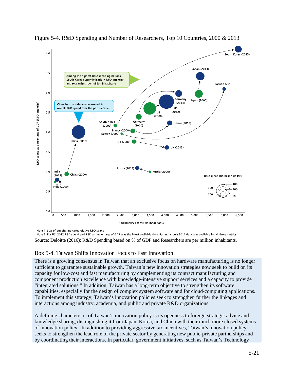

Figure 5-4. R&D Spending and Number of Researchers, Top 10 Countries, 2000 & 2013

Note 1: Size of bubbles indicates relative R&D spend.

Note 2: For US, 2012 R&D spend and R&D as percentage of GDP was the latest available data; For India, only 2011 data was available for all three metrics. Source: Deloitte (2016); R&D Spending based on % of GDP and Researchers are per million inhabitants.

#### Box 5-4. Taiwan Shifts Innovation Focus to Fast Innovation

There is a growing consensus in Taiwan that an exclusive focus on hardware manufacturing is no longer sufficient to guarantee sustainable growth. Taiwan's new innovation strategies now seek to build on its capacity for low-cost and fast manufacturing by complementing its contract manufacturing and component production excellence with knowledge-intensive support services and a capacity to provide "integrated solutions." In addition, Taiwan has a long-term objective to strengthen its software capabilities, especially for the design of complex system software and for cloud-computing applications. To implement this strategy, Taiwan's innovation policies seek to strengthen further the linkages and interactions among industry, academia, and public and private R&D organizations.

A defining characteristic of Taiwan's innovation policy is its openness to foreign strategic advice and knowledge sharing, distinguishing it from Japan, Korea, and China with their much more closed systems of innovation policy. In addition to providing aggressive tax incentives, Taiwan's innovation policy seeks to strengthen the lead role of the private sector by generating new public-private partnerships and by coordinating their interactions. In particular, government initiatives, such as Taiwan's Technology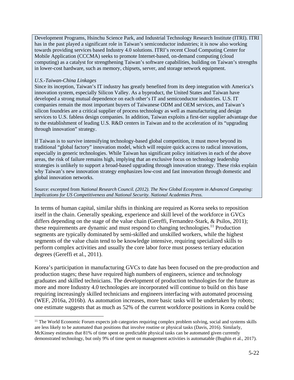Development Programs, Hsinchu Science Park, and Industrial Technology Research Institute (ITRI). ITRI has in the past played a significant role in Taiwan's semiconductor industries; it is now also working towards providing services based Industry 4.0 solutions. ITRI's recent Cloud Computing Center for Mobile Application (CCCMA) seeks to promote Internet-based, on-demand computing (cloud computing) as a catalyst for strengthening Taiwan's software capabilities, building on Taiwan's strengths in lower-cost hardware, such as memory, chipsets, server, and storage network equipment.

#### *U.S.-Taiwan-China Linkages*

<u>.</u>

Since its inception, Taiwan's IT industry has greatly benefited from its deep integration with America's innovation system, especially Silicon Valley. As a byproduct, the United States and Taiwan have developed a strong mutual dependence on each other's IT and semiconductor industries. U.S. IT companies remain the most important buyers of Taiwanese ODM and OEM services, and Taiwan's silicon foundries are a critical supplier of process technology as well as manufacturing and design services to U.S. fabless design companies. In addition, Taiwan exploits a first-tier supplier advantage due to the establishment of leading U.S. R&D centers in Taiwan and to the acceleration of its "upgrading through innovation" strategy.

If Taiwan is to survive intensifying technology-based global competition, it must move beyond its traditional "global factory" innovation model, which will require quick access to radical innovations, especially in generic technologies. While Taiwan has significant policy initiatives in each of the above areas, the risk of failure remains high, implying that an exclusive focus on technology leadership strategies is unlikely to support a broad-based upgrading through innovation strategy. These risks explain why Taiwan's new innovation strategy emphasizes low-cost and fast innovation through domestic and global innovation networks.

#### Source: excerpted from *National Research Council. (2012). The New Global Ecosystem in Advanced Computing: Implications for US Competitiveness and National Security. National Academies Press.*

In terms of human capital, similar shifts in thinking are required as Korea seeks to reposition itself in the chain. Generally speaking, experience and skill level of the workforce in GVCs differs depending on the stage of the value chain (Gereffi, Fernandez-Stark, & Psilos, 2011); these requirements are dynamic and must respond to changing technologies.<sup>11</sup> Production segments are typically dominated by semi-skilled and unskilled workers, while the highest segments of the value chain tend to be knowledge intensive, requiring specialized skills to perform complex activities and usually the core labor force must possess tertiary education degrees (Gereffi et al., 2011).

Korea's participation in manufacturing GVCs to date has been focused on the pre-production and production stages; these have required high numbers of engineers, science and technology graduates and skilled technicians. The development of production technologies for the future as more and more Industry 4.0 technologies are incorporated will continue to build on this base requiring increasingly skilled technicians and engineers interfacing with automated processing (WEF, 2016a, 2016b). As automation increases, more basic tasks will be undertaken by robots; one estimate suggests that as much as 52% of the current workforce positions in Korea could be

<sup>&</sup>lt;sup>11</sup> The World Economic Forum expects job categories requiring complex problem solving, social and systems skills are less likely to be automated than positions that involve routine or physical tasks (Davis, 2016). Similarly, McKinsey estimates that 81% of time spent on predictable physical tasks can be automated given currently demonstrated technology, but only 9% of time spent on management activities is automatable (Bughin et al., 2017).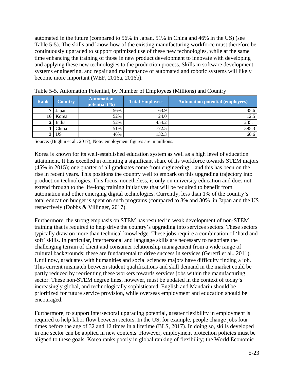automated in the future (compared to 56% in Japan, 51% in China and 46% in the US) (see Table 5-5). The skills and know-how of the existing manufacturing workforce must therefore be continuously upgraded to support optimized use of these new technologies, while at the same time enhancing the training of those in new product development to innovate with developing and applying these new technologies to the production process. Skills in software development, systems engineering, and repair and maintenance of automated and robotic systems will likely become more important (WEF, 2016a, 2016b).

| Rank | Country   | <b>Automation</b><br>potential $(\% )$ | <b>Total Employees</b> | <b>Automation potential (employees)</b> |
|------|-----------|----------------------------------------|------------------------|-----------------------------------------|
|      | Japan     | 56%                                    | 63.9                   | 35.6                                    |
| 16   | Korea     | 52%                                    | 24.0                   | 12.5                                    |
|      | India     | 52%                                    | 454.2                  | 235.1                                   |
|      | China     | 51%                                    | 772.5                  | 395.3                                   |
|      | <b>US</b> | 46%                                    | 132.3                  | 60.6                                    |

| Table 5-5. Automation Potential, by Number of Employees (Millions) and Country |  |  |
|--------------------------------------------------------------------------------|--|--|
|--------------------------------------------------------------------------------|--|--|

Source: (Bughin et al., 2017); Note: employment figures are in millions.

Korea is known for its well-established education system as well as a high level of education attainment. It has excelled in orienting a significant share of its workforce towards STEM majors (45% in 2015); one quarter of all graduates come from engineering – and this has been on the rise in recent years. This positions the country well to embark on this upgrading trajectory into production technologies. This focus, nonetheless, is only on university education and does not extend through to the life-long training initiatives that will be required to benefit from automation and other emerging digital technologies. Currently, less than 1% of the country's total education budget is spent on such programs (compared to 8% and 30% in Japan and the US respectively (Dobbs & Villinger, 2017).

Furthermore, the strong emphasis on STEM has resulted in weak development of non-STEM training that is required to help drive the country's upgrading into services sectors. These sectors typically draw on more than technical knowledge. These jobs require a combination of 'hard and soft' skills. In particular, interpersonal and language skills are necessary to negotiate the challenging terrain of client and consumer relationship management from a wide range of cultural backgrounds; these are fundamental to drive success in services (Gereffi et al., 2011). Until now, graduates with humanities and social sciences majors have difficulty finding a job. This current mismatch between student qualifications and skill demand in the market could be partly reduced by reorienting these workers towards services jobs within the manufacturing sector. These non-STEM degree lines, however, must be updated in the context of today's increasingly global, and technologically sophisticated. English and Mandarin should be prioritized for future service provision, while overseas employment and education should be encouraged.

Furthermore, to support intersectoral upgrading potential, greater flexibility in employment is required to help labor flow between sectors. In the US, for example, people change jobs four times before the age of 32 and 12 times in a lifetime (BLS, 2017). In doing so, skills developed in one sector can be applied in new contexts. However, employment protection policies must be aligned to these goals. Korea ranks poorly in global ranking of flexibility; the World Economic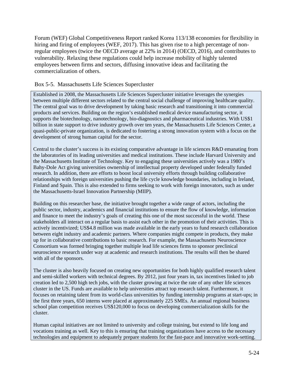Forum (WEF) Global Competitiveness Report ranked Korea 113/138 economies for flexibility in hiring and firing of employees (WEF, 2017). This has given rise to a high percentage of nonregular employees (twice the OECD average at 22% in 2014) (OECD, 2016), and contributes to vulnerability. Relaxing these regulations could help increase mobility of highly talented employees between firms and sectors, diffusing innovative ideas and facilitating the commercialization of others.

#### Box 5-5. Massachusetts Life Sciences Supercluster

Established in 2008, the Massachusetts Life Sciences Supercluster initiative leverages the synergies between multiple different sectors related to the central social challenge of improving healthcare quality. The central goal was to drive development by taking basic research and transitioning it into commercial products and services. Building on the region's established medical device manufacturing sector, it supports the biotechnology, nanotechnology, bio-diagnostics and pharmaceutical industries. With US\$1 billion in state support to drive industry growth over ten years, the Massachusetts Life Sciences Center, a quasi-public-private organization, is dedicated to fostering a strong innovation system with a focus on the development of strong human capital for the sector.

Central to the cluster's success is its existing comparative advantage in life sciences R&D emanating from the laboratories of its leading universities and medical institutions. These include Harvard University and the Massachusetts Institute of Technology. Key to engaging these universities actively was a 1980's Bahy-Dole Act giving universities ownership of intellectual property developed under federally funded research. In addition, there are efforts to boost local university efforts through building collaborative relationships with foreign universities pushing the life cycle knowledge boundaries, including in Ireland, Finland and Spain. This is also extended to firms seeking to work with foreign innovators, such as under the Massachusetts-Israel Innovation Partnership (MIIP).

Building on this researcher base, the initiative brought together a wide range of actors, including the public sector, industry, academics and financial institutions to ensure the flow of knowledge, information and finance to meet the industry's goals of creating this one of the most successful in the world. These stakeholders all interact on a regular basis to assist each other in the promotion of their activities. This is actively incentivized; US\$4.8 million was made available in the early years to fund research collaboration between eight industry and academic partners. Where companies might compete in products, they make up for in collaborative contributions to basic research. For example, the Massachusetts Neuroscience Consortium was formed bringing together multiple lead life sciences firms to sponsor preclinical neuroscience research under way at academic and research institutions. The results will then be shared with all of the sponsors.

The cluster is also heavily focused on creating new opportunities for both highly qualified research talent and semi-skilled workers with technical degrees. By 2012, just four years in, tax incentives linked to job creation led to 2,500 high tech jobs, with the cluster growing at twice the rate of any other life sciences cluster in the US. Funds are available to help universities attract top research talent. Furthermore, it focuses on retaining talent from its world-class universities by funding internship programs at start-ups; in the first three years, 650 interns were placed at approximately 225 SMEs. An annual regional business school plan competition receives US\$120,000 to focus on developing commercialization skills for the cluster.

Human capital initiatives are not limited to university and college training, but extend to life long and vocations training as well. Key to this is ensuring that training organizations have access to the necessary technologies and equipment to adequately prepare students for the fast-pace and innovative work-setting.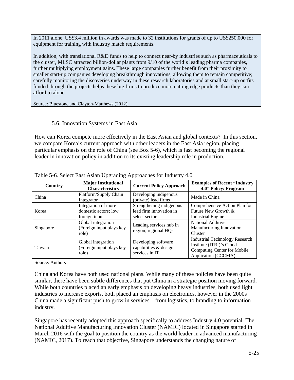In 2011 alone, US\$3.4 million in awards was made to 32 institutions for grants of up to US\$250,000 for equipment for training with industry match requirements.

In addition, with translational R&D funds to help to connect near-by industries such as pharmaceuticals to the cluster, MLSC attracted billion-dollar plants from 9/10 of the world's leading pharma companies, further multiplying employment gains. These large companies further benefit from their proximity to smaller start-up companies developing breakthrough innovations, allowing them to remain competitive; carefully monitoring the discoveries underway in these research laboratories and at small start-up outfits funded through the projects helps these big firms to produce more cutting edge products than they can afford to alone.

Source: Bluestone and Clayton-Matthews (2012)

#### 5.6. Innovation Systems in East Asia

How can Korea compete more effectively in the East Asian and global contexts? In this section, we compare Korea's current approach with other leaders in the East Asia region, placing particular emphasis on the role of China (see Box 5-6), which is fast becoming the regional leader in innovation policy in addition to its existing leadership role in production.

| Country   | <b>Major Institutional</b><br><b>Characteristics</b>         | <b>Current Policy Approach</b>                                        | <b>Examples of Recent "Industry</b><br>4.0" Policy/ Program                                                                    |  |
|-----------|--------------------------------------------------------------|-----------------------------------------------------------------------|--------------------------------------------------------------------------------------------------------------------------------|--|
| China     | Platform/Supply Chain<br>Integrator                          | Developing indigenous<br>(private) lead firms                         | Made in China                                                                                                                  |  |
| Korea     | Integration of more<br>domestic actors; low<br>foreign input | Strengthening indigenous<br>lead firm innovation in<br>select sectors | Comprehensive Action Plan for<br>Future New Growth &<br><b>Industrial Engine</b>                                               |  |
| Singapore | Global integration<br>(Foreign input plays key<br>role)      | Leading services hub in<br>region; regional HQs                       | National Additive<br>Manufacturing Innovation<br>Cluster                                                                       |  |
| Taiwan    | Global integration<br>(Foreign input plays key<br>role)      | Developing software<br>capabilities & design<br>services in IT        | <b>Industrial Technology Research</b><br>Institute (ITRI)'s Cloud<br><b>Computing Center for Mobile</b><br>Application (CCCMA) |  |

Table 5-6. Select East Asian Upgrading Approaches for Industry 4.0

Source: Authors

China and Korea have both used national plans. While many of these policies have been quite similar, there have been subtle differences that put China in a strategic position moving forward. While both countries placed an early emphasis on developing heavy industries, both used light industries to increase exports, both placed an emphasis on electronics, however in the 2000s China made a significant push to grow in services – from logistics, to branding to information industry.

Singapore has recently adopted this approach specifically to address Industry 4.0 potential. The National Additive Manufacturing Innovation Cluster (NAMIC) located in Singapore started in March 2016 with the goal to position the country as the world leader in advanced manufacturing (NAMIC, 2017). To reach that objective, Singapore understands the changing nature of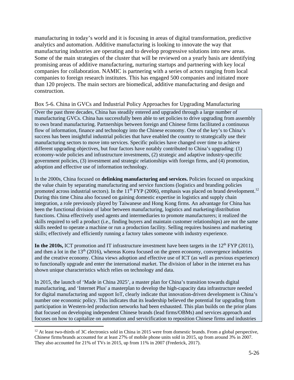manufacturing in today's world and it is focusing in areas of digital transformation, predictive analytics and automation. Additive manufacturing is looking to innovate the way that manufacturing industries are operating and to develop progressive solutions into new areas. Some of the main strategies of the cluster that will be reviewed on a yearly basis are identifying promising areas of additive manufacturing, nurturing startups and partnering with key local companies for collaboration. NAMIC is partnering with a series of actors ranging from local companies to foreign research institutes. This has engaged 500 companies and initiated more than 120 projects. The main sectors are biomedical, additive manufacturing and design and construction.

#### Box 5-6. China in GVCs and Industrial Policy Approaches for Upgrading Manufacturing

Over the past three decades, China has steadily entered and upgraded through a large number of manufacturing GVCs. China has successfully been able to set policies to drive upgrading from assembly to own brand manufacturing. Partnerships between foreign and Chinese firms facilitated a continuous flow of information, finance and technology into the Chinese economy. One of the key's to China's success has been insightful industrial policies that have enabled the country to strategically use their manufacturing sectors to move into services. Specific policies have changed over time to achieve different upgrading objectives, but four factors have notably contributed to China's upgrading: (1) economy-wide policies and infrastructure investments, (2) strategic and adaptive industry-specific government policies, (3) investment and strategic relationships with foreign firms, and (4) promotion, adoption and effective use of information technology.

In the 2000s, China focused on **delinking manufacturing and services.** Policies focused on unpacking the value chain by separating manufacturing and service functions (logistics and branding policies promoted across industrial sectors). In the  $11<sup>th</sup> FYP$  (2006), emphasis was placed on brand development.<sup>12</sup> During this time China also focused on gaining domestic expertise in logistics and supply chain integration, a role previously played by Taiwanese and Hong Kong firms. An advantage for China has been the functional division of labor between manufacturing, logistics and marketing/distribution functions. China effectively used agents and intermediaries to promote manufacturers; it realized the skills required to sell a product (i.e., finding buyers and maintain customer relationships) are not the same skills needed to operate a machine or run a production facility. Selling requires business and marketing skills; effectively and efficiently running a factory takes someone with industry experience.

In the 2010s, ICT promotion and IT infrastructure investment have been targets in the  $12<sup>th</sup> FYP (2011)$ , and then a lot in the  $13<sup>th</sup>$  (2016), whereas Korea focused on the green economy, convergence industries and the creative economy. China views adoption and effective use of ICT (as well as previous experience) to functionally upgrade and enter the international market. The division of labor in the internet era has shown unique characteristics which relies on technology and data.

In 2015, the launch of 'Made in China 2025', a master plan for China's transition towards digital manufacturing, and 'Internet Plus' a masterplan to develop the high-capacity data infrastructure needed for digital manufacturing and support IoT, clearly indicate that innovation-driven development is China's number one economic policy. This indicates that its leadership believed the potential for upgrading from participation in Western-led production networks had been exhausted. This plan builds on the prior plans that focused on developing independent Chinese brands (lead firms/OBMs) and services approach and focuses on how to capitalize on automation and servicification to reposition Chinese firms and industries

 $\overline{a}$ 

 $12$  At least two-thirds of 3C electronics sold in China in 2015 were from domestic brands. From a global perspective, Chinese firms/brands accounted for at least 27% of mobile phone units sold in 2015, up from around 3% in 2007. They also accounted for 21% of TVs in 2015, up from 11% in 2007 (Frederick, 2017).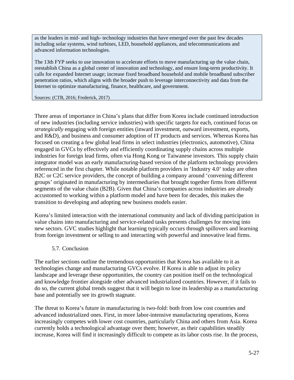as the leaders in mid- and high- technology industries that have emerged over the past few decades including solar systems, wind turbines, LED, household appliances, and telecommunications and advanced information technologies.

The 13th FYP seeks to use innovation to accelerate efforts to move manufacturing up the value chain, reestablish China as a global center of innovation and technology, and ensure long-term productivity. It calls for expanded Internet usage; increase fixed broadband household and mobile broadband subscriber penetration ratios, which aligns with the broader push to leverage interconnectivity and data from the Internet to optimize manufacturing, finance, healthcare, and government.

#### Sources: (CTB, 2016; Frederick, 2017)

Three areas of importance in China's plans that differ from Korea include continued introduction of new industries (including service industries) with specific targets for each, continued focus on *strategically* engaging with foreign entities (inward investment, outward investment, exports, and R&D), and business and consumer adoption of IT products and services. Whereas Korea has focused on creating a few global lead firms in select industries (electronics, automotive), China engaged in GVCs by effectively and efficiently coordinating supply chains across multiple industries for foreign lead firms, often via Hong Kong or Taiwanese investors. This supply chain integrator model was an early manufacturing-based version of the platform technology providers referenced in the first chapter. While notable platform providers in 'Industry 4.0' today are often B2C or C2C service providers, the concept of building a company around 'convening different groups' originated in manufacturing by intermediaries that brought together firms from different segments of the value chain (B2B). Given that China's companies across industries are already accustomed to working within a platform model and have been for decades, this makes the transition to developing and adopting new business models easier.

Korea's limited interaction with the international community and lack of dividing participation in value chains into manufacturing and service-related tasks presents challenges for moving into new sectors. GVC studies highlight that learning typically occurs through spillovers and learning from foreign investment or selling to and interacting with powerful and innovative lead firms.

#### 5.7. Conclusion

The earlier sections outline the tremendous opportunities that Korea has available to it as technologies change and manufacturing GVCs evolve. If Korea is able to adjust its policy landscape and leverage these opportunities, the country can position itself on the technological and knowledge frontier alongside other advanced industrialized countries. However, if it fails to do so, the current global trends suggest that it will begin to lose its leadership as a manufacturing base and potentially see its growth stagnate.

The threat to Korea's future in manufacturing is two-fold: both from low cost countries and advanced industrialized ones. First, in more labor-intensive manufacturing operations, Korea increasingly competes with lower cost countries, particularly China and others from Asia. Korea currently holds a technological advantage over them; however, as their capabilities steadily increase, Korea will find it increasingly difficult to compete as its labor costs rise. In the process,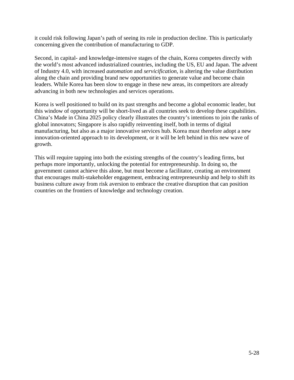it could risk following Japan's path of seeing its role in production decline. This is particularly concerning given the contribution of manufacturing to GDP.

Second, in capital- and knowledge-intensive stages of the chain, Korea competes directly with the world's most advanced industrialized countries, including the US, EU and Japan. The advent of Industry 4.0, with increased *automation* and *servicification,* is altering the value distribution along the chain and providing brand new opportunities to generate value and become chain leaders. While Korea has been slow to engage in these new areas, its competitors are already advancing in both new technologies and services operations.

Korea is well positioned to build on its past strengths and become a global economic leader, but this window of opportunity will be short-lived as all countries seek to develop these capabilities. China's Made in China 2025 policy clearly illustrates the country's intentions to join the ranks of global innovators; Singapore is also rapidly reinventing itself, both in terms of digital manufacturing, but also as a major innovative services hub. Korea must therefore adopt a new innovation-oriented approach to its development, or it will be left behind in this new wave of growth.

This will require tapping into both the existing strengths of the country's leading firms, but perhaps more importantly, unlocking the potential for entrepreneurship. In doing so, the government cannot achieve this alone, but must become a facilitator, creating an environment that encourages multi-stakeholder engagement, embracing entrepreneurship and help to shift its business culture away from risk aversion to embrace the creative disruption that can position countries on the frontiers of knowledge and technology creation.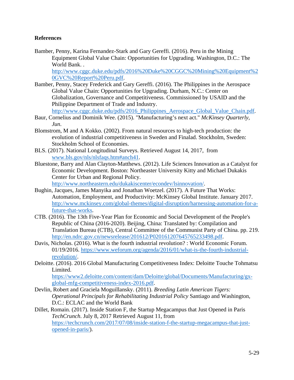#### **References**

Bamber, Penny, Karina Fernandez-Stark and Gary Gereffi. (2016). Peru in the Mining Equipment Global Value Chain: Opportunities for Upgrading. Washington, D.C.: The World Bank. .

http://www.cggc.duke.edu/pdfs/2016%20Duke%20CGGC%20Mining%20Equipment%2 0GVC%20Report%20Peru.pdf.

- Bamber, Penny, Stacey Frederick and Gary Gereffi. (2016). The Philippines in the Aerospace Global Value Chain: Opportunities for Upgrading. Durham, N.C.: Center on Globalization, Governance and Competitiveness. Commissioned by USAID and the Philippine Department of Trade and Industry. http://www.cggc.duke.edu/pdfs/2016\_Philippines\_Aerospace\_Global\_Value\_Chain.pdf.
- Baur, Cornelius and Dominik Wee. (2015). "Manufacturing's next act." *McKinsey Quarterly, Jun*.
- Blomstrom, M and A Kokko. (2002). From natural resources to high-tech production: the evolution of industrial competitiveness in Sweden and Finalad. Stockholm, Sweden: Stockholm School of Economies.
- BLS. (2017). National Longitudinal Surveys. Retrieved August 14, 2017, from www.bls.gov/nls/nlsfaqs.htm#anch41.
- Bluestone, Barry and Alan Clayton-Matthews. (2012). Life Sciences Innovation as a Catalyst for Economic Development. Boston: Northeaster University Kitty and Michael Dukakis Center for Urban and Regional Policy.

http://www.northeastern.edu/dukakiscenter/econdev/lsinnovation/.

- Bughin, Jacques, James Manyika and Jonathan Woetzel. (2017). A Future That Works: Automation, Employment, and Productivity: McKinsey Global Institute. January 2017. http://www.mckinsey.com/global-themes/digital-disruption/harnessing-automation-for-afuture-that-works.
- CTB. (2016). The 13th Five-Year Plan for Economic and Social Development of the People's Republic of China (2016-2020). Beijing, China: Translated by: Compilation and Translation Bureau (CTB), Central Committee of the Communist Party of China. pp. 219. http://en.ndrc.gov.cn/newsrelease/201612/P020161207645765233498.pdf.
- Davis, Nicholas. (2016). What is the fourth industrial revolution? : World Economic Forum. 01/19/2016. https://www.weforum.org/agenda/2016/01/what-is-the-fourth-industrialrevolution/.
- Deloitte. (2016). 2016 Global Manufacturing Competitiveness Index: Deloitte Touche Tohmatsu Limited.

https://www2.deloitte.com/content/dam/Deloitte/global/Documents/Manufacturing/gxglobal-mfg-competitiveness-index-2016.pdf.

Devlin, Robert and Graciela Moguillansky. (2011). *Breeding Latin American Tigers: Operational Principals for Rehabilitating Industrial Policy* Santiago and Washington, D.C.: ECLAC and the World Bank

Dillet, Romain. (2017). Inside Station F, the Startup Megacampus that Just Opened in Paris *TechCrunch*. July 8, 2017 Retrieved August 11, from https://techcrunch.com/2017/07/08/inside-station-f-the-startup-megacampus-that-justopened-in-paris/).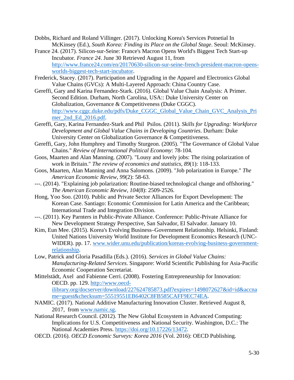- Dobbs, Richard and Roland Villinger. (2017). Unlocking Korea's Services Potnetial In McKinsey (Ed.), *South Korea: Finding its Place on the Global Stage*. Seoul: McKinsey.
- France 24. (2017). Silicon-sur-Seine: France's Macron Opens World's Biggest Tech Start-up Incubator*. France 24*. June 30 Retrieved August 11, from http://www.france24.com/en/20170630-silicon-sur-seine-french-president-macron-opensworlds-biggest-tech-start-incubator.
- Frederick, Stacey. (2017). Participation and Upgrading in the Apparel and Electronics Global Value Chains (GVCs): A Multi-Layered Approach: China Country Case.
- Gereffi, Gary and Karina Fernandez-Stark. (2016). Global Value Chain Analysis: A Primer. Second Edition. Durham, North Carolina, USA:: Duke University Center on Globalization, Governance & Competitiveness (Duke CGGC). http://www.cggc.duke.edu/pdfs/Duke\_CGGC\_Global\_Value\_Chain\_GVC\_Analysis\_Pri mer\_2nd\_Ed\_2016.pdf.
- Gereffi, Gary, Karina Fernandez-Stark and Phil Psilos. (2011). *Skills for Upgrading: Workforce Development and Global Value Chains in Developing Countries*. Durham: Duke University Center on Globalization Governance & Competitiveness.
- Gereffi, Gary, John Humphrey and Timothy Sturgeon. (2005). "The Governance of Global Value Chains." *Review of International Political Economy*: 78-104.
- Goos, Maarten and Alan Manning. (2007). "Lousy and lovely jobs: The rising polarization of work in Britain." *The review of economics and statistics, 89*(1): 118-133.
- Goos, Maarten, Alan Manning and Anna Salomons. (2009). "Job polarization in Europe." *The American Economic Review, 99*(2): 58-63.
- ---. (2014). "Explaining job polarization: Routine-biased technological change and offshoring." *The American Economic Review, 104*(8): 2509-2526.
- Hong, Yoo Soo. (2010). Public and Private Sector Alliances for Export Development: The Korean Case. Santiago: Economic Commission for Latin America and the Caribbean; International Trade and Integration Division.
- ---. (2011). Key Parnters in Public-Private Alliance. Conference: Public-Private Alliance for New Development Strategy Perspective, San Salvador, El Salvador. January 10.
- Kim, Eun Mee. (2015). Korea's Evolving Business–Government Relationship. Helsinki, Finland: United Nations University World Institute for Development Economics Research (UNC-WIDER). pp. 17. www.wider.unu.edu/publication/koreas-evolving-business-governmentrelationship.
- Low, Patrick and Gloria Pasadilla (Eds.). (2016). *Services in Global Value Chains: Manufacturing-Related Services*. Singapore: World Scientific Publishing for Asia-Pacific Economic Cooperation Secretariat.
- Mittelstädt, Axel and Fabienne Cerri. (2008). Fostering Entrepreneurship for Innovation: OECD. pp. 129. http://www.oecdilibrary.org/docserver/download/227624785873.pdf?expires=1498072627&id=id&accna me=guest&checksum=55519551EB6402C8FB585CAFF9EC74EA.
- NAMIC. (2017). National Additive Manufacturing Innovation Cluster. Retrieved August 8, 2017, from www.namic.sg.
- National Research Council. (2012). The New Global Ecosystem in Advanced Computing: Implications for U.S. Competitiveness and National Security. Washington, D.C.: The National Academies Press. https://doi.org/10.17226/13472.
- OECD. (2016). *OECD Economic Surveys: Korea 2016* (Vol. 2016): OECD Publishing.